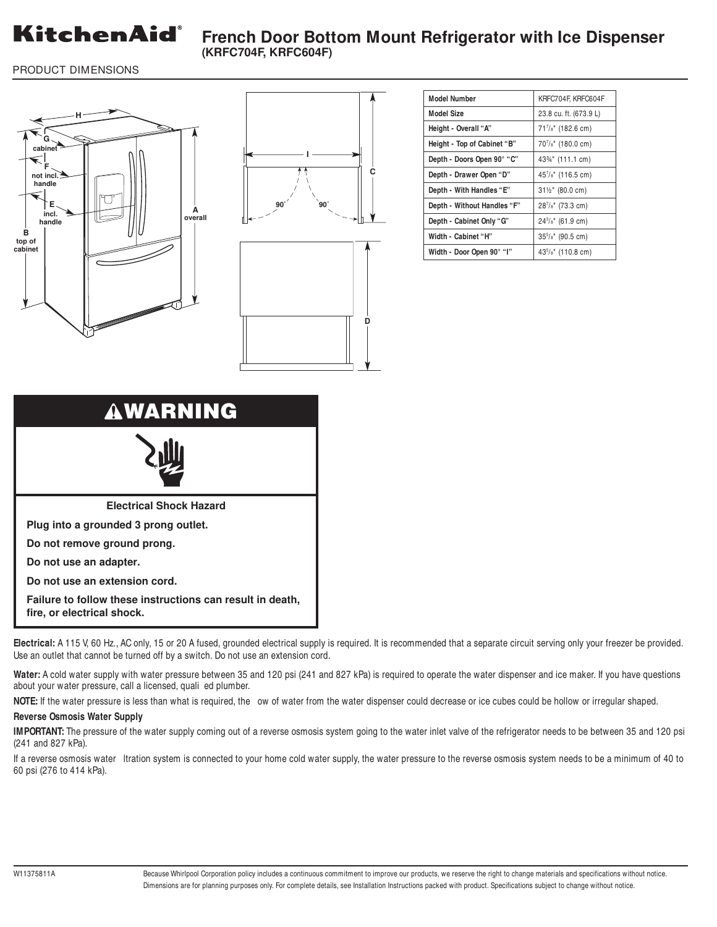

PRODUCT DIMENSIONS





| <b>Model Number</b>         | KRFC704F, KRFC604F                          |
|-----------------------------|---------------------------------------------|
| <b>Model Size</b>           | 23.8 cu. ft. (673.9 L)                      |
| Height - Overall "A"        | 717/8" (182.6 cm)                           |
| Height - Top of Cabinet "B" | 707/8" (180.0 cm)                           |
| Depth - Doors Open 90° "C"  | 43%" (111.1 cm)                             |
| Depth - Drawer Open "D"     | 457/8" (116.5 cm)                           |
| Depth - With Handles "E"    | 31½" (80.0 cm)                              |
| Depth - Without Handles "F" | 287/s" (73.3 cm)                            |
| Depth - Cabinet Only "G"    | $24\frac{3}{8}$ " (61.9 cm)                 |
| Width - Cabinet "H"         | $355/s$ " (90.5 cm)                         |
| Width - Door Open 90° "I"   | 43 <sup>5</sup> / <sub>8</sub> " (110.8 cm) |



**Electrical:** A 115 V, 60 Hz., AC only, 15 or 20 A fused, grounded electrical supply is required. It is recommended that a separate circuit serving only your freezer be provided. Use an outlet that cannot be turned off by a switch. Do not use an extension cord.

**Water:** A cold water supply with water pressure between 35 and 120 psi (241 and 827 kPa) is required to operate the water dispenser and ice maker. If you have questions about your water pressure, call a licensed, quali ed plumber.

NOTE: If the water pressure is less than what is required, the ow of water from the water dispenser could decrease or ice cubes could be hollow or irregular shaped.

## **Reverse Osmosis Water Supply**

**IMPORTANT:** The pressure of the water supply coming out of a reverse osmosis system going to the water inlet valve of the refrigerator needs to be between 35 and 120 psi (241 and 827 kPa).

If a reverse osmosis water Itration system is connected to your home cold water supply, the water pressure to the reverse osmosis system needs to be a minimum of 40 to 60 psi (276 to 414 kPa).